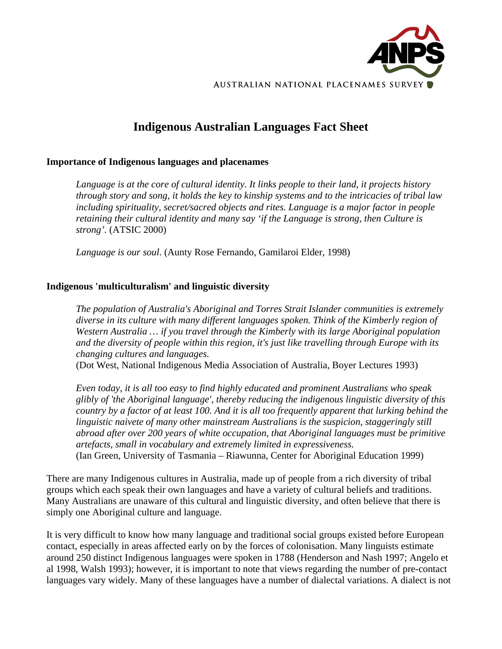

# **Indigenous Australian Languages Fact Sheet**

#### **Importance of Indigenous languages and placenames**

*Language is at the core of cultural identity. It links people to their land, it projects history through story and song, it holds the key to kinship systems and to the intricacies of tribal law including spirituality, secret/sacred objects and rites. Language is a major factor in people retaining their cultural identity and many say 'if the Language is strong, then Culture is strong'.* (ATSIC 2000)

*Language is our soul*. (Aunty Rose Fernando, Gamilaroi Elder, 1998)

# **Indigenous 'multiculturalism' and linguistic diversity**

*The population of Australia's Aboriginal and Torres Strait Islander communities is extremely diverse in its culture with many different languages spoken. Think of the Kimberly region of Western Australia … if you travel through the Kimberly with its large Aboriginal population and the diversity of people within this region, it's just like travelling through Europe with its changing cultures and languages.* 

(Dot West, National Indigenous Media Association of Australia, Boyer Lectures 1993)

*Even today, it is all too easy to find highly educated and prominent Australians who speak glibly of 'the Aboriginal language', thereby reducing the indigenous linguistic diversity of this country by a factor of at least 100. And it is all too frequently apparent that lurking behind the linguistic naivete of many other mainstream Australians is the suspicion, staggeringly still abroad after over 200 years of white occupation, that Aboriginal languages must be primitive artefacts, small in vocabulary and extremely limited in expressiveness.*  (Ian Green, University of Tasmania – Riawunna, Center for Aboriginal Education 1999)

There are many Indigenous cultures in Australia, made up of people from a rich diversity of tribal groups which each speak their own languages and have a variety of cultural beliefs and traditions. Many Australians are unaware of this cultural and linguistic diversity, and often believe that there is simply one Aboriginal culture and language.

It is very difficult to know how many language and traditional social groups existed before European contact, especially in areas affected early on by the forces of colonisation. Many linguists estimate around 250 distinct Indigenous languages were spoken in 1788 (Henderson and Nash 1997; Angelo et al 1998, Walsh 1993); however, it is important to note that views regarding the number of pre-contact languages vary widely. Many of these languages have a number of dialectal variations. A dialect is not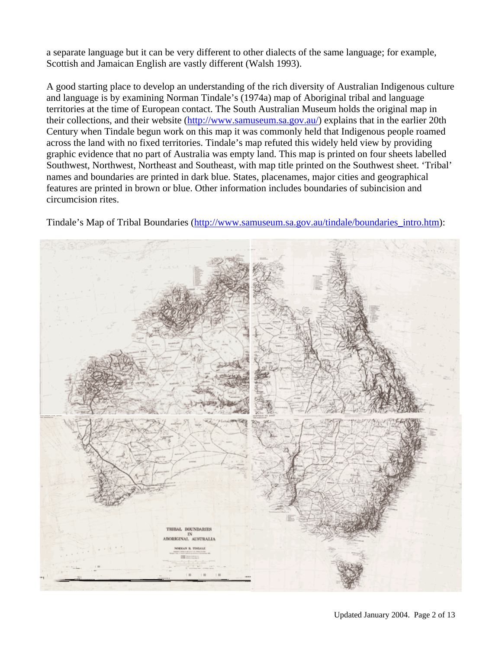a separate language but it can be very different to other dialects of the same language; for example, Scottish and Jamaican English are vastly different (Walsh 1993).

A good starting place to develop an understanding of the rich diversity of Australian Indigenous culture and language is by examining Norman Tindale's (1974a) map of Aboriginal tribal and language territories at the time of European contact. The South Australian Museum holds the original map in their collections, and their website ([http://www.samuseum.sa.gov.au/\)](http://www.samuseum.sa.gov.au/) explains that in the earlier 20th Century when Tindale begun work on this map it was commonly held that Indigenous people roamed across the land with no fixed territories. Tindale's map refuted this widely held view by providing graphic evidence that no part of Australia was empty land. This map is printed on four sheets labelled Southwest, Northwest, Northeast and Southeast, with map title printed on the Southwest sheet. 'Tribal' names and boundaries are printed in dark blue. States, placenames, major cities and geographical features are printed in brown or blue. Other information includes boundaries of subincision and circumcision rites.



Tindale's Map of Tribal Boundaries (http://www.samuseum.sa.gov.au/tindale/boundaries\_intro.htm):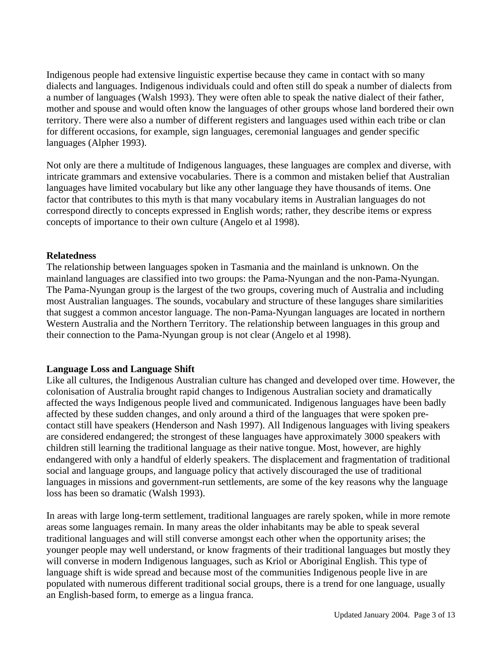Indigenous people had extensive linguistic expertise because they came in contact with so many dialects and languages. Indigenous individuals could and often still do speak a number of dialects from a number of languages (Walsh 1993). They were often able to speak the native dialect of their father, mother and spouse and would often know the languages of other groups whose land bordered their own territory. There were also a number of different registers and languages used within each tribe or clan for different occasions, for example, sign languages, ceremonial languages and gender specific languages (Alpher 1993).

Not only are there a multitude of Indigenous languages, these languages are complex and diverse, with intricate grammars and extensive vocabularies. There is a common and mistaken belief that Australian languages have limited vocabulary but like any other language they have thousands of items. One factor that contributes to this myth is that many vocabulary items in Australian languages do not correspond directly to concepts expressed in English words; rather, they describe items or express concepts of importance to their own culture (Angelo et al 1998).

#### **Relatedness**

The relationship between languages spoken in Tasmania and the mainland is unknown. On the mainland languages are classified into two groups: the Pama-Nyungan and the non-Pama-Nyungan. The Pama-Nyungan group is the largest of the two groups, covering much of Australia and including most Australian languages. The sounds, vocabulary and structure of these languges share similarities that suggest a common ancestor language. The non-Pama-Nyungan languages are located in northern Western Australia and the Northern Territory. The relationship between languages in this group and their connection to the Pama-Nyungan group is not clear (Angelo et al 1998).

# **Language Loss and Language Shift**

Like all cultures, the Indigenous Australian culture has changed and developed over time. However, the colonisation of Australia brought rapid changes to Indigenous Australian society and dramatically affected the ways Indigenous people lived and communicated. Indigenous languages have been badly affected by these sudden changes, and only around a third of the languages that were spoken precontact still have speakers (Henderson and Nash 1997). All Indigenous languages with living speakers are considered endangered; the strongest of these languages have approximately 3000 speakers with children still learning the traditional language as their native tongue. Most, however, are highly endangered with only a handful of elderly speakers. The displacement and fragmentation of traditional social and language groups, and language policy that actively discouraged the use of traditional languages in missions and government-run settlements, are some of the key reasons why the language loss has been so dramatic (Walsh 1993).

In areas with large long-term settlement, traditional languages are rarely spoken, while in more remote areas some languages remain. In many areas the older inhabitants may be able to speak several traditional languages and will still converse amongst each other when the opportunity arises; the younger people may well understand, or know fragments of their traditional languages but mostly they will converse in modern Indigenous languages, such as Kriol or Aboriginal English. This type of language shift is wide spread and because most of the communities Indigenous people live in are populated with numerous different traditional social groups, there is a trend for one language, usually an English-based form, to emerge as a lingua franca.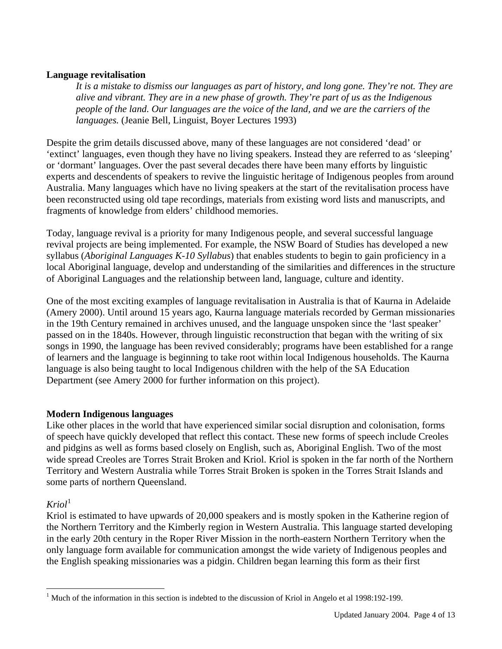#### **Language revitalisation**

*It is a mistake to dismiss our languages as part of history, and long gone. They're not. They are alive and vibrant. They are in a new phase of growth. They're part of us as the Indigenous people of the land. Our languages are the voice of the land, and we are the carriers of the languages.* (Jeanie Bell, Linguist, Boyer Lectures 1993)

Despite the grim details discussed above, many of these languages are not considered 'dead' or 'extinct' languages, even though they have no living speakers. Instead they are referred to as 'sleeping' or 'dormant' languages. Over the past several decades there have been many efforts by linguistic experts and descendents of speakers to revive the linguistic heritage of Indigenous peoples from around Australia. Many languages which have no living speakers at the start of the revitalisation process have been reconstructed using old tape recordings, materials from existing word lists and manuscripts, and fragments of knowledge from elders' childhood memories.

Today, language revival is a priority for many Indigenous people, and several successful language revival projects are being implemented. For example, the NSW Board of Studies has developed a new syllabus (*Aboriginal Languages K-10 Syllabus*) that enables students to begin to gain proficiency in a local Aboriginal language, develop and understanding of the similarities and differences in the structure of Aboriginal Languages and the relationship between land, language, culture and identity.

One of the most exciting examples of language revitalisation in Australia is that of Kaurna in Adelaide (Amery 2000). Until around 15 years ago, Kaurna language materials recorded by German missionaries in the 19th Century remained in archives unused, and the language unspoken since the 'last speaker' passed on in the 1840s. However, through linguistic reconstruction that began with the writing of six songs in 1990, the language has been revived considerably; programs have been established for a range of learners and the language is beginning to take root within local Indigenous households. The Kaurna language is also being taught to local Indigenous children with the help of the SA Education Department (see Amery 2000 for further information on this project).

# **Modern Indigenous languages**

Like other places in the world that have experienced similar social disruption and colonisation, forms of speech have quickly developed that reflect this contact. These new forms of speech include Creoles and pidgins as well as forms based closely on English, such as, Aboriginal English. Two of the most wide spread Creoles are Torres Strait Broken and Kriol. Kriol is spoken in the far north of the Northern Territory and Western Australia while Torres Strait Broken is spoken in the Torres Strait Islands and some parts of northern Queensland.

# $Kriol<sup>1</sup>$  $Kriol<sup>1</sup>$  $Kriol<sup>1</sup>$

 $\overline{a}$ 

Kriol is estimated to have upwards of 20,000 speakers and is mostly spoken in the Katherine region of the Northern Territory and the Kimberly region in Western Australia. This language started developing in the early 20th century in the Roper River Mission in the north-eastern Northern Territory when the only language form available for communication amongst the wide variety of Indigenous peoples and the English speaking missionaries was a pidgin. Children began learning this form as their first

<span id="page-3-0"></span><sup>&</sup>lt;sup>1</sup> Much of the information in this section is indebted to the discussion of Kriol in Angelo et al 1998:192-199.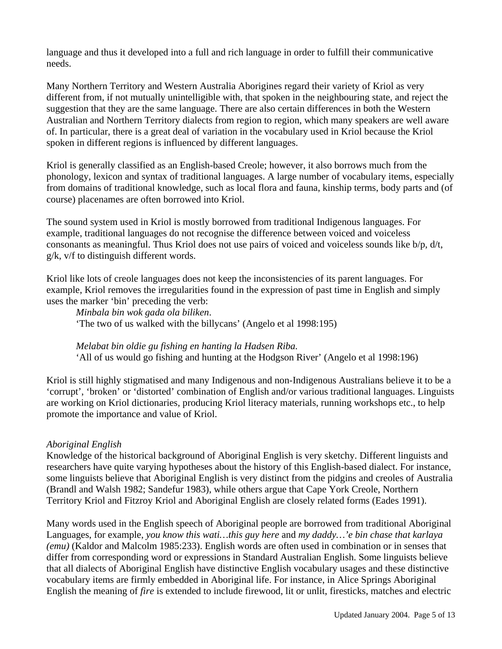language and thus it developed into a full and rich language in order to fulfill their communicative needs.

Many Northern Territory and Western Australia Aborigines regard their variety of Kriol as very different from, if not mutually unintelligible with, that spoken in the neighbouring state, and reject the suggestion that they are the same language. There are also certain differences in both the Western Australian and Northern Territory dialects from region to region, which many speakers are well aware of. In particular, there is a great deal of variation in the vocabulary used in Kriol because the Kriol spoken in different regions is influenced by different languages.

Kriol is generally classified as an English-based Creole; however, it also borrows much from the phonology, lexicon and syntax of traditional languages. A large number of vocabulary items, especially from domains of traditional knowledge, such as local flora and fauna, kinship terms, body parts and (of course) placenames are often borrowed into Kriol.

The sound system used in Kriol is mostly borrowed from traditional Indigenous languages. For example, traditional languages do not recognise the difference between voiced and voiceless consonants as meaningful. Thus Kriol does not use pairs of voiced and voiceless sounds like b/p, d/t, g/k, v/f to distinguish different words.

Kriol like lots of creole languages does not keep the inconsistencies of its parent languages. For example, Kriol removes the irregularities found in the expression of past time in English and simply uses the marker 'bin' preceding the verb:

*Minbala bin wok gada ola biliken*. 'The two of us walked with the billycans' (Angelo et al 1998:195)

*Melabat bin oldie gu fishing en hanting la Hadsen Riba.*  'All of us would go fishing and hunting at the Hodgson River' (Angelo et al 1998:196)

Kriol is still highly stigmatised and many Indigenous and non-Indigenous Australians believe it to be a 'corrupt', 'broken' or 'distorted' combination of English and/or various traditional languages. Linguists are working on Kriol dictionaries, producing Kriol literacy materials, running workshops etc., to help promote the importance and value of Kriol.

# *Aboriginal English*

Knowledge of the historical background of Aboriginal English is very sketchy. Different linguists and researchers have quite varying hypotheses about the history of this English-based dialect. For instance, some linguists believe that Aboriginal English is very distinct from the pidgins and creoles of Australia (Brandl and Walsh 1982; Sandefur 1983), while others argue that Cape York Creole, Northern Territory Kriol and Fitzroy Kriol and Aboriginal English are closely related forms (Eades 1991).

Many words used in the English speech of Aboriginal people are borrowed from traditional Aboriginal Languages, for example, *you know this wati…this guy here* and *my daddy…'e bin chase that karlaya (emu)* (Kaldor and Malcolm 1985:233). English words are often used in combination or in senses that differ from corresponding word or expressions in Standard Australian English. Some linguists believe that all dialects of Aboriginal English have distinctive English vocabulary usages and these distinctive vocabulary items are firmly embedded in Aboriginal life. For instance, in Alice Springs Aboriginal English the meaning of *fire* is extended to include firewood, lit or unlit, firesticks, matches and electric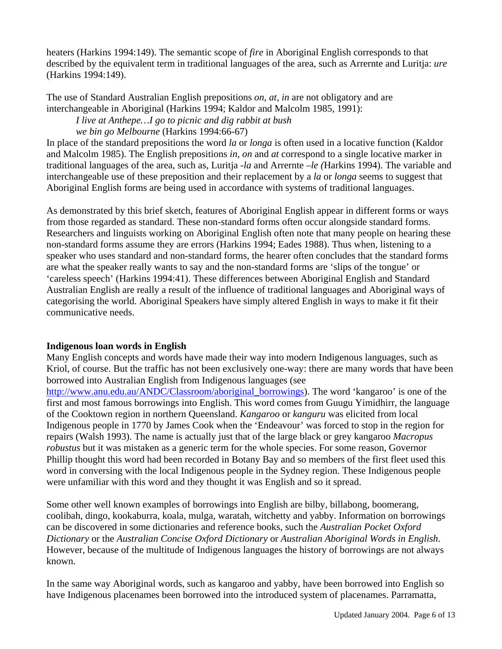heaters (Harkins 1994:149). The semantic scope of *fire* in Aboriginal English corresponds to that described by the equivalent term in traditional languages of the area, such as Arrernte and Luritja: *ure* (Harkins 1994:149).

The use of Standard Australian English prepositions *on*, *at*, *in* are not obligatory and are interchangeable in Aboriginal (Harkins 1994; Kaldor and Malcolm 1985, 1991):

*I live at Anthepe…I go to picnic and dig rabbit at bush* 

 *we bin go Melbourne* (Harkins 1994:66-67)

In place of the standard prepositions the word *la* or *longa* is often used in a locative function (Kaldor and Malcolm 1985). The English prepositions *in*, *on* and *at* correspond to a single locative marker in traditional languages of the area, such as, Luritja *-la* and Arrernte *–le (*Harkins 1994). The variable and interchangeable use of these preposition and their replacement by a *la* or *longa* seems to suggest that Aboriginal English forms are being used in accordance with systems of traditional languages.

As demonstrated by this brief sketch, features of Aboriginal English appear in different forms or ways from those regarded as standard. These non-standard forms often occur alongside standard forms. Researchers and linguists working on Aboriginal English often note that many people on hearing these non-standard forms assume they are errors (Harkins 1994; Eades 1988). Thus when, listening to a speaker who uses standard and non-standard forms, the hearer often concludes that the standard forms are what the speaker really wants to say and the non-standard forms are 'slips of the tongue' or 'careless speech' (Harkins 1994:41). These differences between Aboriginal English and Standard Australian English are really a result of the influence of traditional languages and Aboriginal ways of categorising the world. Aboriginal Speakers have simply altered English in ways to make it fit their communicative needs.

# **Indigenous loan words in English**

Many English concepts and words have made their way into modern Indigenous languages, such as Kriol, of course. But the traffic has not been exclusively one-way: there are many words that have been borrowed into Australian English from Indigenous languages (see

[http://www.anu.edu.au/ANDC/Classroom/aboriginal\\_borrowings\)](http://www.anu.edu.au/ANDC/Classroom/aboriginal_borrowings). The word 'kangaroo' is one of the first and most famous borrowings into English. This word comes from Guugu Yimidhirr, the language of the Cooktown region in northern Queensland. *Kangaroo* or *kanguru* was elicited from local Indigenous people in 1770 by James Cook when the 'Endeavour' was forced to stop in the region for repairs (Walsh 1993). The name is actually just that of the large black or grey kangaroo *Macropus robustus* but it was mistaken as a generic term for the whole species. For some reason, Governor Phillip thought this word had been recorded in Botany Bay and so members of the first fleet used this word in conversing with the local Indigenous people in the Sydney region. These Indigenous people were unfamiliar with this word and they thought it was English and so it spread.

Some other well known examples of borrowings into English are bilby, billabong, boomerang, coolibah, dingo, kookaburra, koala, mulga, waratah, witchetty and yabby. Information on borrowings can be discovered in some dictionaries and reference books, such the *Australian Pocket Oxford Dictionary* or the *Australian Concise Oxford Dictionary* or *Australian Aboriginal Words in English*. However, because of the multitude of Indigenous languages the history of borrowings are not always known.

In the same way Aboriginal words, such as kangaroo and yabby, have been borrowed into English so have Indigenous placenames been borrowed into the introduced system of placenames. Parramatta,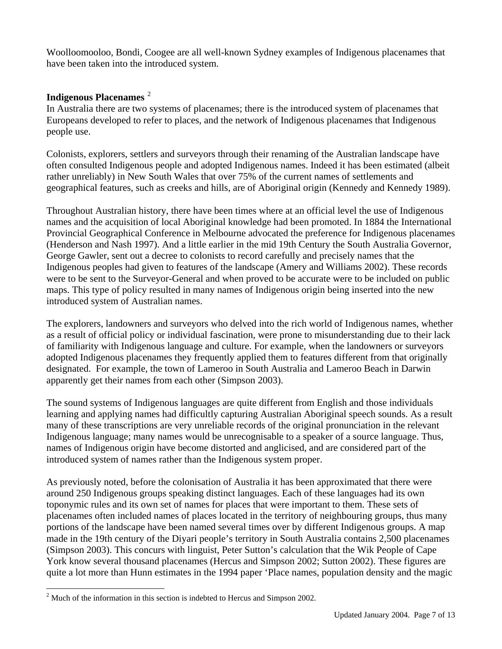Woolloomooloo, Bondi, Coogee are all well-known Sydney examples of Indigenous placenames that have been taken into the introduced system.

#### **Indigenous Placenames** [2](#page-6-0)

In Australia there are two systems of placenames; there is the introduced system of placenames that Europeans developed to refer to places, and the network of Indigenous placenames that Indigenous people use.

Colonists, explorers, settlers and surveyors through their renaming of the Australian landscape have often consulted Indigenous people and adopted Indigenous names. Indeed it has been estimated (albeit rather unreliably) in New South Wales that over 75% of the current names of settlements and geographical features, such as creeks and hills, are of Aboriginal origin (Kennedy and Kennedy 1989).

Throughout Australian history, there have been times where at an official level the use of Indigenous names and the acquisition of local Aboriginal knowledge had been promoted. In 1884 the International Provincial Geographical Conference in Melbourne advocated the preference for Indigenous placenames (Henderson and Nash 1997). And a little earlier in the mid 19th Century the South Australia Governor, George Gawler, sent out a decree to colonists to record carefully and precisely names that the Indigenous peoples had given to features of the landscape (Amery and Williams 2002). These records were to be sent to the Surveyor-General and when proved to be accurate were to be included on public maps. This type of policy resulted in many names of Indigenous origin being inserted into the new introduced system of Australian names.

The explorers, landowners and surveyors who delved into the rich world of Indigenous names, whether as a result of official policy or individual fascination, were prone to misunderstanding due to their lack of familiarity with Indigenous language and culture. For example, when the landowners or surveyors adopted Indigenous placenames they frequently applied them to features different from that originally designated. For example, the town of Lameroo in South Australia and Lameroo Beach in Darwin apparently get their names from each other (Simpson 2003).

The sound systems of Indigenous languages are quite different from English and those individuals learning and applying names had difficultly capturing Australian Aboriginal speech sounds. As a result many of these transcriptions are very unreliable records of the original pronunciation in the relevant Indigenous language; many names would be unrecognisable to a speaker of a source language. Thus, names of Indigenous origin have become distorted and anglicised, and are considered part of the introduced system of names rather than the Indigenous system proper.

As previously noted, before the colonisation of Australia it has been approximated that there were around 250 Indigenous groups speaking distinct languages. Each of these languages had its own toponymic rules and its own set of names for places that were important to them. These sets of placenames often included names of places located in the territory of neighbouring groups, thus many portions of the landscape have been named several times over by different Indigenous groups. A map made in the 19th century of the Diyari people's territory in South Australia contains 2,500 placenames (Simpson 2003). This concurs with linguist, Peter Sutton's calculation that the Wik People of Cape York know several thousand placenames (Hercus and Simpson 2002; Sutton 2002). These figures are quite a lot more than Hunn estimates in the 1994 paper 'Place names, population density and the magic

 $\overline{a}$ 

<span id="page-6-0"></span> $2^2$  Much of the information in this section is indebted to Hercus and Simpson 2002.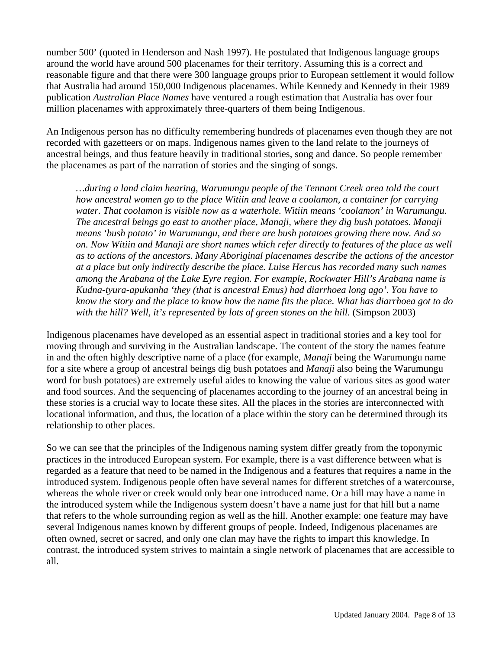number 500' (quoted in Henderson and Nash 1997). He postulated that Indigenous language groups around the world have around 500 placenames for their territory. Assuming this is a correct and reasonable figure and that there were 300 language groups prior to European settlement it would follow that Australia had around 150,000 Indigenous placenames. While Kennedy and Kennedy in their 1989 publication *Australian Place Names* have ventured a rough estimation that Australia has over four million placenames with approximately three-quarters of them being Indigenous.

An Indigenous person has no difficulty remembering hundreds of placenames even though they are not recorded with gazetteers or on maps. Indigenous names given to the land relate to the journeys of ancestral beings, and thus feature heavily in traditional stories, song and dance. So people remember the placenames as part of the narration of stories and the singing of songs.

*…during a land claim hearing, Warumungu people of the Tennant Creek area told the court how ancestral women go to the place Witiin and leave a coolamon, a container for carrying water. That coolamon is visible now as a waterhole. Witiin means 'coolamon' in Warumungu. The ancestral beings go east to another place, Manaji, where they dig bush potatoes. Manaji means 'bush potato' in Warumungu, and there are bush potatoes growing there now. And so on. Now Witiin and Manaji are short names which refer directly to features of the place as well as to actions of the ancestors. Many Aboriginal placenames describe the actions of the ancestor at a place but only indirectly describe the place. Luise Hercus has recorded many such names among the Arabana of the Lake Eyre region. For example, Rockwater Hill's Arabana name is Kudna-tyura-apukanha 'they (that is ancestral Emus) had diarrhoea long ago'. You have to know the story and the place to know how the name fits the place. What has diarrhoea got to do with the hill? Well, it's represented by lots of green stones on the hill.* (Simpson 2003)

Indigenous placenames have developed as an essential aspect in traditional stories and a key tool for moving through and surviving in the Australian landscape. The content of the story the names feature in and the often highly descriptive name of a place (for example, *Manaji* being the Warumungu name for a site where a group of ancestral beings dig bush potatoes and *Manaji* also being the Warumungu word for bush potatoes) are extremely useful aides to knowing the value of various sites as good water and food sources. And the sequencing of placenames according to the journey of an ancestral being in these stories is a crucial way to locate these sites. All the places in the stories are interconnected with locational information, and thus, the location of a place within the story can be determined through its relationship to other places.

So we can see that the principles of the Indigenous naming system differ greatly from the toponymic practices in the introduced European system. For example, there is a vast difference between what is regarded as a feature that need to be named in the Indigenous and a features that requires a name in the introduced system. Indigenous people often have several names for different stretches of a watercourse, whereas the whole river or creek would only bear one introduced name. Or a hill may have a name in the introduced system while the Indigenous system doesn't have a name just for that hill but a name that refers to the whole surrounding region as well as the hill. Another example: one feature may have several Indigenous names known by different groups of people. Indeed, Indigenous placenames are often owned, secret or sacred, and only one clan may have the rights to impart this knowledge. In contrast, the introduced system strives to maintain a single network of placenames that are accessible to all.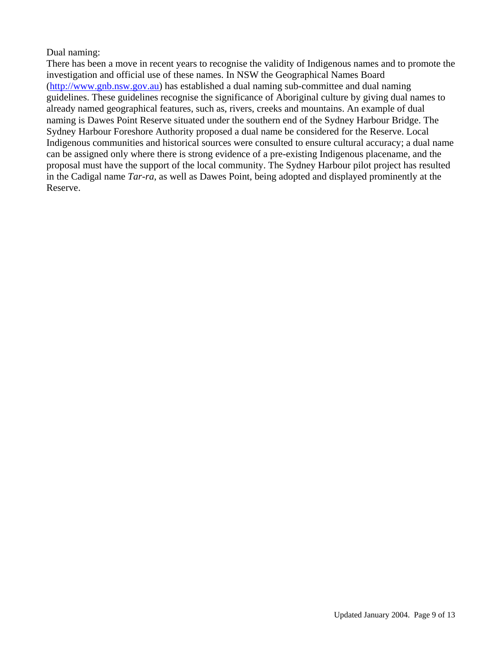# Dual naming:

There has been a move in recent years to recognise the validity of Indigenous names and to promote the investigation and official use of these names. In NSW the Geographical Names Board (http://www.gnb.nsw.gov.au) has established a dual naming sub-committee and dual naming guidelines. These guidelines recognise the significance of Aboriginal culture by giving dual names to already named geographical features, such as, rivers, creeks and mountains. An example of dual naming is Dawes Point Reserve situated under the southern end of the Sydney Harbour Bridge. The Sydney Harbour Foreshore Authority proposed a dual name be considered for the Reserve. Local Indigenous communities and historical sources were consulted to ensure cultural accuracy; a dual name can be assigned only where there is strong evidence of a pre-existing Indigenous placename, and the proposal must have the support of the local community. The Sydney Harbour pilot project has resulted in the Cadigal name *Tar-ra*, as well as Dawes Point, being adopted and displayed prominently at the Reserve.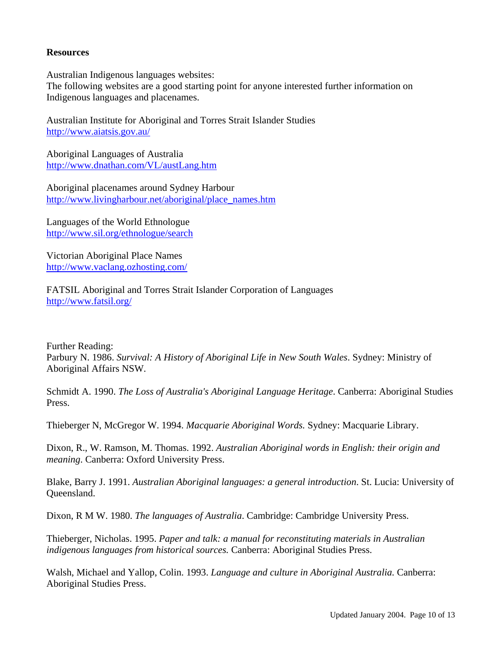#### **Resources**

Australian Indigenous languages websites:

The following websites are a good starting point for anyone interested further information on Indigenous languages and placenames.

Australian Institute for Aboriginal and Torres Strait Islander Studies <http://www.aiatsis.gov.au/>

Aboriginal Languages of Australia <http://www.dnathan.com/VL/austLang.htm>

Aboriginal placenames around Sydney Harbour [http://www.livingharbour.net/aboriginal/place\\_names.htm](http://www.livingharbour.net/aboriginal/place_names.htm)

Languages of the World Ethnologue <http://www.sil.org/ethnologue/search>

Victorian Aboriginal Place Names <http://www.vaclang.ozhosting.com/>

FATSIL Aboriginal and Torres Strait Islander Corporation of Languages <http://www.fatsil.org/>

Further Reading: Parbury N. 1986. *Survival: A History of Aboriginal Life in New South Wales*. Sydney: Ministry of Aboriginal Affairs NSW.

Schmidt A. 1990. *The Loss of Australia's Aboriginal Language Heritage*. Canberra: Aboriginal Studies Press.

Thieberger N, McGregor W. 1994. *Macquarie Aboriginal Words.* Sydney: Macquarie Library.

Dixon, R., W. Ramson, M. Thomas. 1992. *Australian Aboriginal words in English: their origin and meaning*. Canberra: Oxford University Press.

Blake, Barry J. 1991. *Australian Aboriginal languages: a general introduction*. St. Lucia: University of Queensland.

Dixon, R M W. 1980. *The languages of Australia*. Cambridge: Cambridge University Press.

Thieberger, Nicholas. 1995. *Paper and talk: a manual for reconstituting materials in Australian indigenous languages from historical sources.* Canberra: Aboriginal Studies Press.

Walsh, Michael and Yallop, Colin. 1993. *Language and culture in Aboriginal Australia.* Canberra: Aboriginal Studies Press.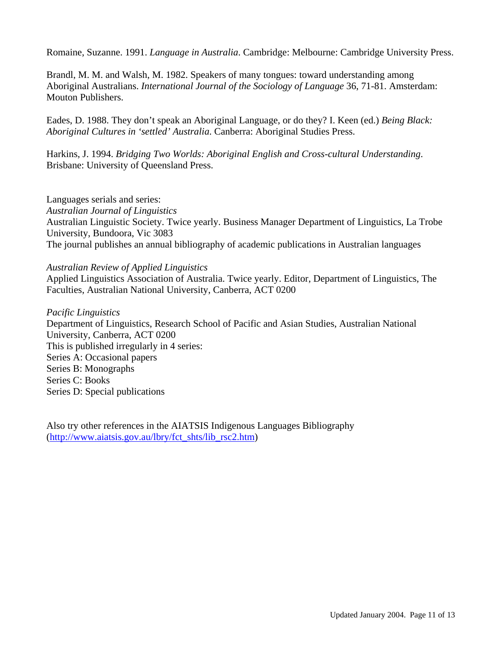Romaine, Suzanne. 1991. *Language in Australia*. Cambridge: Melbourne: Cambridge University Press.

Brandl, M. M. and Walsh, M. 1982. Speakers of many tongues: toward understanding among Aboriginal Australians. *International Journal of the Sociology of Language* 36, 71-81. Amsterdam: Mouton Publishers.

Eades, D. 1988. They don't speak an Aboriginal Language, or do they? I. Keen (ed.) *Being Black: Aboriginal Cultures in 'settled' Australia*. Canberra: Aboriginal Studies Press.

Harkins, J. 1994. *Bridging Two Worlds: Aboriginal English and Cross-cultural Understanding*. Brisbane: University of Queensland Press.

Languages serials and series: *Australian Journal of Linguistics* Australian Linguistic Society. Twice yearly. Business Manager Department of Linguistics, La Trobe University, Bundoora, Vic 3083 The journal publishes an annual bibliography of academic publications in Australian languages

#### *Australian Review of Applied Linguistics*

Applied Linguistics Association of Australia. Twice yearly. Editor, Department of Linguistics, The Faculties, Australian National University, Canberra, ACT 0200

*Pacific Linguistics* Department of Linguistics, Research School of Pacific and Asian Studies, Australian National University, Canberra, ACT 0200 This is published irregularly in 4 series: Series A: Occasional papers Series B: Monographs Series C: Books Series D: Special publications

Also try other references in the AIATSIS Indigenous Languages Bibliography ([http://www.aiatsis.gov.au/lbry/fct\\_shts/lib\\_rsc2.htm\)](http://www.aiatsis.gov.au/lbry/fct_shts/lib_rsc2.htm)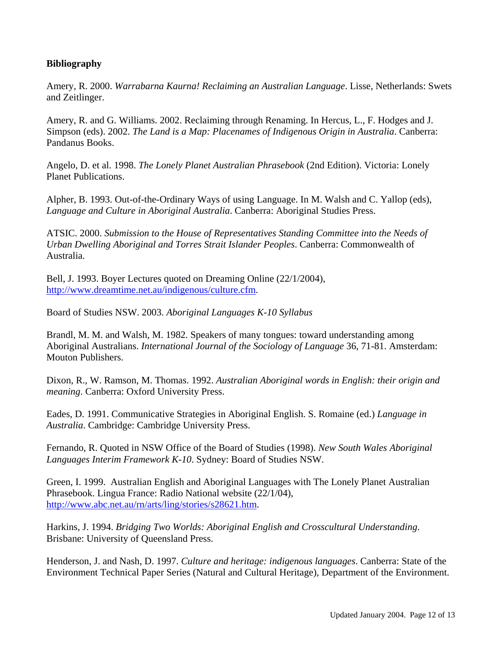# **Bibliography**

Amery, R. 2000. *Warrabarna Kaurna! Reclaiming an Australian Language*. Lisse, Netherlands: Swets and Zeitlinger.

Amery, R. and G. Williams. 2002. Reclaiming through Renaming. In Hercus, L., F. Hodges and J. Simpson (eds). 2002. *The Land is a Map: Placenames of Indigenous Origin in Australia*. Canberra: Pandanus Books.

Angelo, D. et al. 1998. *The Lonely Planet Australian Phrasebook* (2nd Edition). Victoria: Lonely Planet Publications.

Alpher, B. 1993. Out-of-the-Ordinary Ways of using Language. In M. Walsh and C. Yallop (eds), *Language and Culture in Aboriginal Australia*. Canberra: Aboriginal Studies Press.

ATSIC. 2000. *Submission to the House of Representatives Standing Committee into the Needs of Urban Dwelling Aboriginal and Torres Strait Islander Peoples*. Canberra: Commonwealth of Australia.

Bell, J. 1993. Boyer Lectures quoted on Dreaming Online (22/1/2004), [http://www.dreamtime.net.au/indigenous/culture.cfm.](http://www.dreamtime.net.au/indigenous/culture.cfm)

Board of Studies NSW. 2003. *Aboriginal Languages K-10 Syllabus*

Brandl, M. M. and Walsh, M. 1982. Speakers of many tongues: toward understanding among Aboriginal Australians. *International Journal of the Sociology of Language* 36, 71-81. Amsterdam: Mouton Publishers.

Dixon, R., W. Ramson, M. Thomas. 1992. *Australian Aboriginal words in English: their origin and meaning*. Canberra: Oxford University Press.

Eades, D. 1991. Communicative Strategies in Aboriginal English. S. Romaine (ed.) *Language in Australia*. Cambridge: Cambridge University Press.

Fernando, R. Quoted in NSW Office of the Board of Studies (1998). *New South Wales Aboriginal Languages Interim Framework K-10*. Sydney: Board of Studies NSW.

Green, I. 1999. Australian English and Aboriginal Languages with The Lonely Planet Australian Phrasebook. Lingua France: Radio National website (22/1/04), <http://www.abc.net.au/rn/arts/ling/stories/s28621.htm>.

Harkins, J. 1994. *Bridging Two Worlds: Aboriginal English and Crosscultural Understanding*. Brisbane: University of Queensland Press.

Henderson, J. and Nash, D. 1997. *Culture and heritage: indigenous languages*. Canberra: State of the Environment Technical Paper Series (Natural and Cultural Heritage), Department of the Environment.